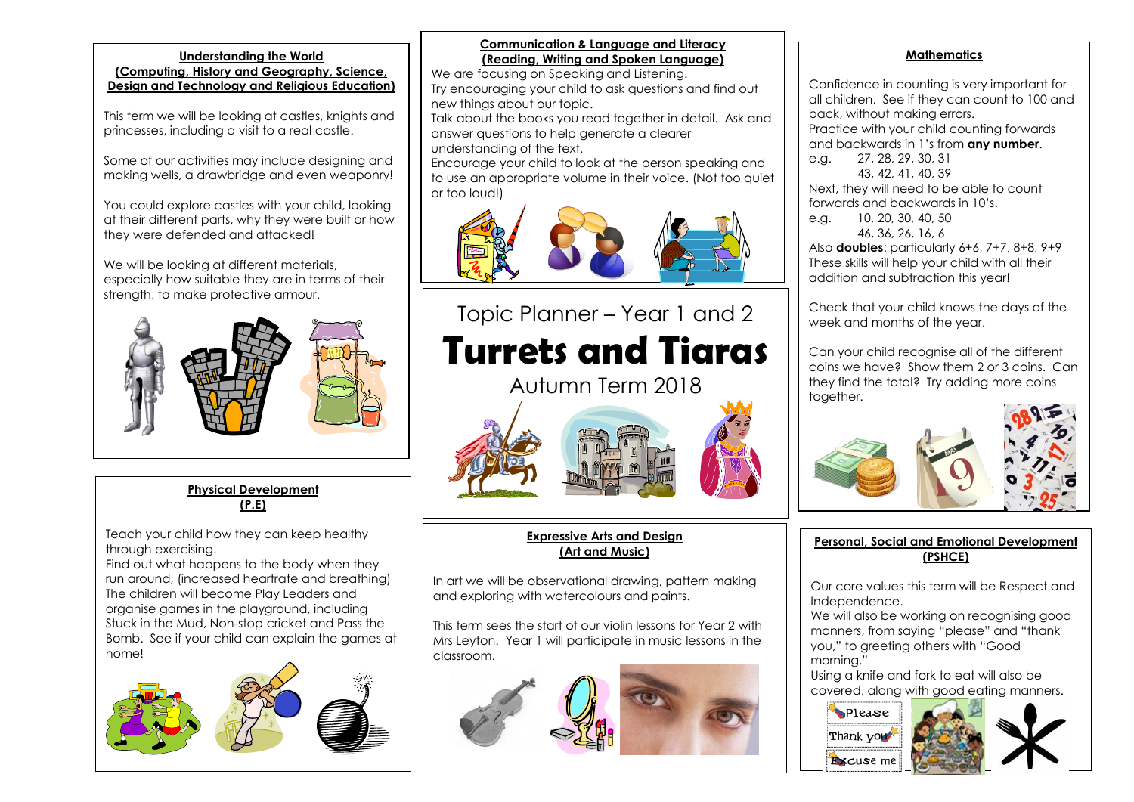#### **Understanding the World**

**(Computing, History and Geography, Science, Design and Technology and Religious Education)**

This term we will be looking at castles, knights and princesses, including a visit to a real castle.

Some of our activities may include designing and making wells, a drawbridge and even weaponry!

You could explore castles with your child, looking at their different parts, why they were built or how they were defended and attacked!

We will be looking at different materials, especially how suitable they are in terms of their strength, to make protective armour.



**Physical Development (P.E)**

Teach your child how they can keep healthy through exercising.

Find out what happens to the body when they run around, (increased heartrate and breathing) The children will become Play Leaders and organise games in the playground, including Stuck in the Mud, Non-stop cricket and Pass the Bomb. See if your child can explain the games at home!



# **Communication & Language and Literacy (Reading, Writing and Spoken Language)**

We are focusing on Speaking and Listening. Try encouraging your child to ask questions and find out new things about our topic.

Talk about the books you read together in detail. Ask and answer questions to help generate a clearer understanding of the text.

Encourage your child to look at the person speaking and to use an appropriate volume in their voice. (Not too quiet or too loud!)



# Topic Planner – Year 1 and 2 **Turrets and Tiaras**

Autumn Term 2018



# **Expressive Arts and Design (Art and Music)**

In art we will be observational drawing, pattern making and exploring with watercolours and paints.

This term sees the start of our violin lessons for Year 2 with Mrs Leyton. Year 1 will participate in music lessons in the classroom.



#### **Mathematics**

Confidence in counting is very important for all children. See if they can count to 100 and back, without making errors. Practice with your child counting forwards and backwards in 1's from **any number**. e.g. 27, 28, 29, 30, 31

43, 42, 41, 40, 39 Next, they will need to be able to count forwards and backwards in 10's.

e.g. 10, 20, 30, 40, 50 46, 36, 26, 16, 6

Also **doubles**: particularly 6+6, 7+7, 8+8, 9+9 These skills will help your child with all their addition and subtraction this year!

Check that your child knows the days of the week and months of the year.

Can your child recognise all of the different coins we have? Show them 2 or 3 coins. Can they find the total? Try adding more coins together.



# **Personal, Social and Emotional Development (PSHCE)**

Our core values this term will be Respect and Independence.

We will also be working on recognising good manners, from saying "please" and "thank you," to greeting others with "Good morning."

Using a knife and fork to eat will also be covered, along with good eating manners.